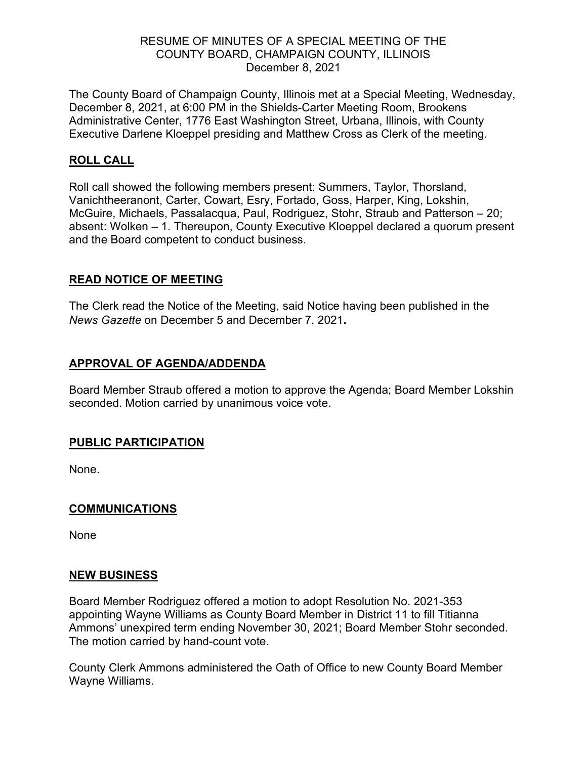## RESUME OF MINUTES OF A SPECIAL MEETING OF THE COUNTY BOARD, CHAMPAIGN COUNTY, ILLINOIS December 8, 2021

The County Board of Champaign County, Illinois met at a Special Meeting, Wednesday, December 8, 2021, at 6:00 PM in the Shields-Carter Meeting Room, Brookens Administrative Center, 1776 East Washington Street, Urbana, Illinois, with County Executive Darlene Kloeppel presiding and Matthew Cross as Clerk of the meeting.

## **ROLL CALL**

Roll call showed the following members present: Summers, Taylor, Thorsland, Vanichtheeranont, Carter, Cowart, Esry, Fortado, Goss, Harper, King, Lokshin, McGuire, Michaels, Passalacqua, Paul, Rodriguez, Stohr, Straub and Patterson – 20; absent: Wolken – 1. Thereupon, County Executive Kloeppel declared a quorum present and the Board competent to conduct business.

## **READ NOTICE OF MEETING**

The Clerk read the Notice of the Meeting, said Notice having been published in the *News Gazette* on December 5 and December 7, 2021**.**

# **APPROVAL OF AGENDA/ADDENDA**

Board Member Straub offered a motion to approve the Agenda; Board Member Lokshin seconded. Motion carried by unanimous voice vote.

## **PUBLIC PARTICIPATION**

None.

## **COMMUNICATIONS**

None

#### **NEW BUSINESS**

Board Member Rodriguez offered a motion to adopt Resolution No. 2021-353 appointing Wayne Williams as County Board Member in District 11 to fill Titianna Ammons' unexpired term ending November 30, 2021; Board Member Stohr seconded. The motion carried by hand-count vote.

County Clerk Ammons administered the Oath of Office to new County Board Member Wayne Williams.